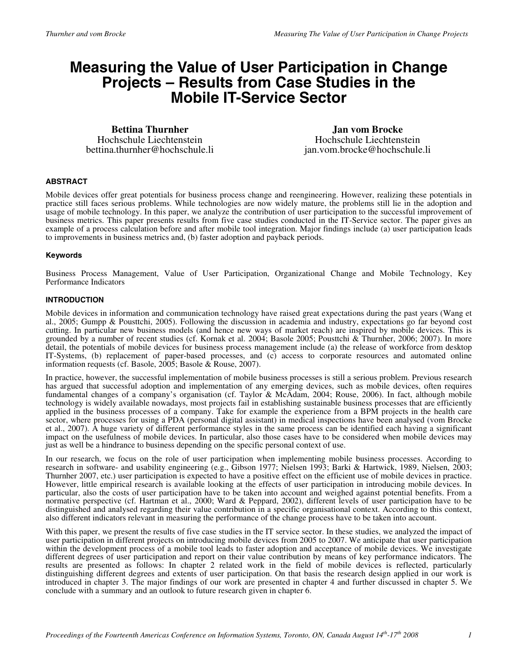# **Measuring the Value of User Participation in Change Projects – Results from Case Studies in the Mobile IT-Service Sector**

**Bettina Thurnher** Hochschule Liechtenstein bettina.thurnher@hochschule.li

**Jan vom Brocke** Hochschule Liechtenstein jan.vom.brocke@hochschule.li

## **ABSTRACT**

Mobile devices offer great potentials for business process change and reengineering. However, realizing these potentials in practice still faces serious problems. While technologies are now widely mature, the problems still lie in the adoption and usage of mobile technology. In this paper, we analyze the contribution of user participation to the successful improvement of business metrics. This paper presents results from five case studies conducted in the IT-Service sector. The paper gives an example of a process calculation before and after mobile tool integration. Major findings include (a) user participation leads to improvements in business metrics and, (b) faster adoption and payback periods.

## **Keywords**

Business Process Management, Value of User Participation, Organizational Change and Mobile Technology, Key Performance Indicators

## **INTRODUCTION**

Mobile devices in information and communication technology have raised great expectations during the past years (Wang et al., 2005; Gumpp & Pousttchi, 2005). Following the discussion in academia and industry, expectations go far beyond cost cutting. In particular new business models (and hence new ways of market reach) are inspired by mobile devices. This is grounded by a number of recent studies (cf. Kornak et al. 2004; Basole 2005; Pousttchi & Thurnher, 2006; 2007). In more detail, the potentials of mobile devices for business process management include (a) the release of workforce from desktop IT-Systems, (b) replacement of paper-based processes, and (c) access to corporate resources and automated online information requests (cf. Basole, 2005; Basole & Rouse, 2007).

In practice, however, the successful implementation of mobile business processes is still a serious problem. Previous research has argued that successful adoption and implementation of any emerging devices, such as mobile devices, often requires fundamental changes of a company's organisation (cf. Taylor & McAdam, 2004; Rouse, 2006). In fact, although mobile technology is widely available nowadays, most projects fail in establishing sustainable business processes that are efficiently applied in the business processes of a company. Take for example the experience from a BPM projects in the health care sector, where processes for using a PDA (personal digital assistant) in medical inspections have been analysed (vom Brocke et al., 2007). A huge variety of different performance styles in the same process can be identified each having a significant impact on the usefulness of mobile devices. In particular, also those cases have to be considered when mobile devices may just as well be a hindrance to business depending on the specific personal context of use.

In our research, we focus on the role of user participation when implementing mobile business processes. According to research in software- and usability engineering (e.g., Gibson 1977; Nielsen 1993; Barki & Hartwick, 1989, Nielsen, 2003; Thurnher 2007, etc.) user participation is expected to have a positive effect on the efficient use of mobile devices in practice. However, little empirical research is available looking at the effects of user participation in introducing mobile devices. In particular, also the costs of user participation have to be taken into account and weighed against potential benefits. From a normative perspective (cf. Hartman et al., 2000; Ward & Peppard, 2002), different levels of user participation have to be distinguished and analysed regarding their value contribution in a specific organisational context. According to this context, also different indicators relevant in measuring the performance of the change process have to be taken into account.

With this paper, we present the results of five case studies in the IT service sector. In these studies, we analyzed the impact of user participation in different projects on introducing mobile devices from 2005 to 2007. We anticipate that user participation within the development process of a mobile tool leads to faster adoption and acceptance of mobile devices. We investigate different degrees of user participation and report on their value contribution by means of key performance indicators. The results are presented as follows: In chapter 2 related work in the field of mobile devices is reflected, particularly distinguishing different degrees and extents of user participation. On that basis the research design applied in our work is introduced in chapter 3. The major findings of our work are presented in chapter 4 and further discussed in chapter 5. We conclude with a summary and an outlook to future research given in chapter 6.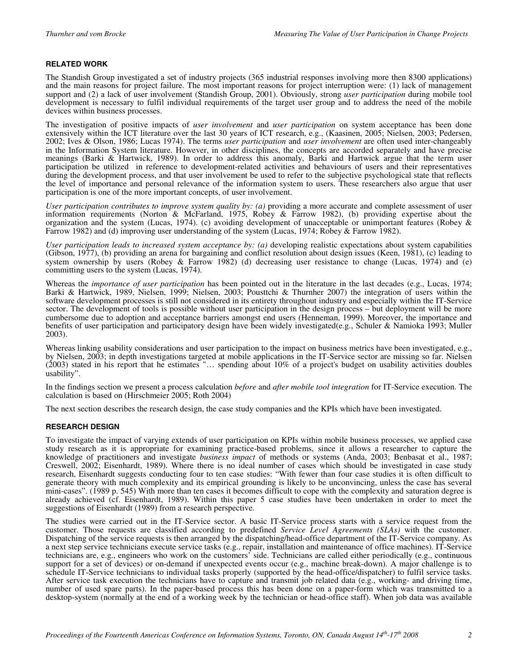# **RELATED WORK**

The Standish Group investigated a set of industry projects (365 industrial responses involving more then 8300 applications) and the main reasons for project failure. The most important reasons for project interruption were: (1) lack of management support and (2) a lack of user involvement (Standish Group, 2001). Obviously, strong *user participation* during mobile tool development is necessary to fulfil individual requirements of the target user group and to address the need of the mobile devices within business processes.

The investigation of positive impacts of *user involvement* and *user participation* on system acceptance has been done extensively within the ICT literature over the last 30 years of ICT research, e.g., (Kaasinen, 2005; Nielsen, 2003; Pedersen, 2002; Ives & Olson, 1986; Lucas 1974). The terms *user participation* and *user involvement* are often used inter-changeably in the Information System literature. However, in other disciplines, the concepts are accorded separately and have precise meanings (Barki & Hartwick, 1989). In order to address this anomaly, Barki and Hartwick argue that the term user participation be utilized in reference to development-related activities and behaviours of users and their representatives during the development process, and that user involvement be used to refer to the subjective psychological state that reflects the level of importance and personal relevance of the information system to users. These researchers also argue that user participation is one of the more important concepts, of user involvement.

*User participation contributes to improve system quality by: (a) providing a more accurate and complete assessment of user* information requirements (Norton & McFarland, 1975, Robey & Farrow 1982), (b) providing expertise about the organization and the system (Lucas, 1974). (c) avoiding development of unacceptable or unimportant features (Robey & Farrow 1982) and (d) improving user understanding of the system (Lucas, 1974; Robey & Farrow 1982).

*User participation leads to increased system acceptance by: (a)* developing realistic expectations about system capabilities (Gibson, 1977), (b) providing an arena for bargaining and conflict resolution about design issues (Keen, 1981), (c) leading to system ownership by users (Robey & Farrow 1982) (d) decreasing user resistance to change (Lucas, 1974) and (e) committing users to the system (Lucas, 1974).

Whereas the *importance of user participation* has been pointed out in the literature in the last decades (e.g., Lucas, 1974; Barki & Hartwick, 1989, Nielsen, 1999; Nielsen, 2003; Pousttchi & Thurnher 2007) the integration of users within the software development processes is still not considered in its entirety throughout industry and especially within the IT-Service sector. The development of tools is possible without user participation in the design process – but deployment will be more cumbersome due to adoption and acceptance barriers amongst end users (Henneman, 1999). Moreover, the importance and benefits of user participation and participatory design have been widely investigated(e.g., Schuler & Namioka 1993; Muller 2003).

Whereas linking usability considerations and user participation to the impact on business metrics have been investigated, e.g., by Nielsen, 2003; in depth investigations targeted at mobile applications in the IT-Service sector are missing so far. Nielsen (2003) stated in his report that he estimates "… spending about 10% of a project's budget on usability activities doubles usability".

In the findings section we present a process calculation *before* and *after mobile tool integration* for IT-Service execution. The calculation is based on (Hirschmeier 2005; Roth 2004)

The next section describes the research design, the case study companies and the KPIs which have been investigated.

## **RESEARCH DESIGN**

To investigate the impact of varying extends of user participation on KPIs within mobile business processes, we applied case study research as it is appropriate for examining practice-based problems, since it allows a researcher to capture the knowledge of practitioners and investigate *business impact* of methods or systems (Anda, 2003; Benbasat et al., 1987; Creswell, 2002; Eisenhardt, 1989). Where there is no ideal number of cases which should be investigated in case study research, Eisenhardt suggests conducting four to ten case studies: "With fewer than four case studies it is often difficult to generate theory with much complexity and its empirical grounding is likely to be unconvincing, unless the case has several mini-cases". (1989 p. 545) With more than ten cases it becomes difficult to cope with the complexity and saturation degree is already achieved (cf. Eisenhardt, 1989). Within this paper 5 case studies have been undertaken in order to meet the suggestions of Eisenhardt (1989) from a research perspective.

The studies were carried out in the IT-Service sector. A basic IT-Service process starts with a service request from the customer. Those requests are classified according to predefined *Service Level Agreements (SLAs)* with the customer. Dispatching of the service requests is then arranged by the dispatching/head-office department of the IT-Service company. As a next step service technicians execute service tasks (e.g., repair, installation and maintenance of office machines). IT-Service technicians are, e.g., engineers who work on the customers' side. Technicians are called either periodically (e.g., continuous support for a set of devices) or on-demand if unexpected events occur (e.g., machine break-down). A major challenge is to schedule IT-Service technicians to individual tasks properly (supported by the head-office/dispatcher) to fulfil service tasks. After service task execution the technicians have to capture and transmit job related data (e.g., working- and driving time, number of used spare parts). In the paper-based process this has been done on a paper-form which was transmitted to a desktop-system (normally at the end of a working week by the technician or head-office staff). When job data was available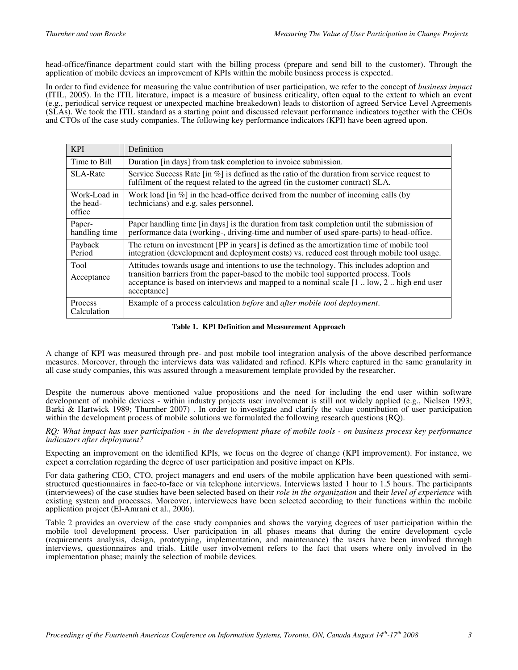head-office/finance department could start with the billing process (prepare and send bill to the customer). Through the application of mobile devices an improvement of KPIs within the mobile business process is expected.

In order to find evidence for measuring the value contribution of user participation, we refer to the concept of *business impact* (ITIL, 2005). In the ITIL literature, impact is a measure of business criticality, often equal to the extent to which an event (e.g., periodical service request or unexpected machine breakedown) leads to distortion of agreed Service Level Agreements (SLAs). We took the ITIL standard as a starting point and discussed relevant performance indicators together with the CEOs and CTOs of the case study companies. The following key performance indicators (KPI) have been agreed upon.

| <b>KPI</b>                          | Definition                                                                                                                                                                                           |  |  |  |
|-------------------------------------|------------------------------------------------------------------------------------------------------------------------------------------------------------------------------------------------------|--|--|--|
| Time to Bill                        | Duration [in days] from task completion to invoice submission.                                                                                                                                       |  |  |  |
| <b>SLA-Rate</b>                     | Service Success Rate $\left[\text{in } \%\right]$ is defined as the ratio of the duration from service request to<br>fulfilment of the request related to the agreed (in the customer contract) SLA. |  |  |  |
| Work-Load in<br>the head-<br>office | Work load [in $\%$ ] in the head-office derived from the number of incoming calls (by<br>technicians) and e.g. sales personnel.                                                                      |  |  |  |
| Paper-<br>handling time             | Paper handling time [in days] is the duration from task completion until the submission of<br>performance data (working-, driving-time and number of used spare-parts) to head-office.               |  |  |  |
| Payback<br>Period                   | The return on investment [PP in years] is defined as the amortization time of mobile tool<br>integration (development and deployment costs) vs. reduced cost through mobile tool usage.              |  |  |  |
| Tool<br>Acceptance                  | Attitudes towards usage and intentions to use the technology. This includes adoption and<br>transition barriers from the paper-based to the mobile tool supported process. Tools                     |  |  |  |
|                                     | acceptance is based on interviews and mapped to a nominal scale [1 . low, 2  high end user<br>acceptance]                                                                                            |  |  |  |
| <b>Process</b><br>Calculation       | Example of a process calculation <i>before</i> and <i>after mobile tool deployment</i> .                                                                                                             |  |  |  |

**Table 1. KPI Definition and Measurement Approach**

A change of KPI was measured through pre- and post mobile tool integration analysis of the above described performance measures. Moreover, through the interviews data was validated and refined. KPIs where captured in the same granularity in all case study companies, this was assured through a measurement template provided by the researcher.

Despite the numerous above mentioned value propositions and the need for including the end user within software development of mobile devices - within industry projects user involvement is still not widely applied (e.g., Nielsen 1993; Barki & Hartwick 1989; Thurnher 2007) . In order to investigate and clarify the value contribution of user participation within the development process of mobile solutions we formulated the following research questions (RQ).

*RQ: What impact has user participation - in the development phase of mobile tools - on business process key performance indicators after deployment?*

Expecting an improvement on the identified KPIs, we focus on the degree of change (KPI improvement). For instance, we expect a correlation regarding the degree of user participation and positive impact on KPIs.

For data gathering CEO, CTO, project managers and end users of the mobile application have been questioned with semi-<br>structured questionnaires in face-to-face or via telephone interviews. Interviews lasted 1 hour to 1.5 h (interviewees) of the case studies have been selected based on their *role in the organization* and their *level of experience* with existing system and processes. Moreover, interviewees have been selected according to their functions within the mobile application project (El-Amrani et al., 2006).

[Table 2](#page-3-0) provides an overview of the case study companies and shows the varying degrees of user participation within the mobile tool development process. User participation in all phases means that during the entire development cycle (requirements analysis, design, prototyping, implementation, and maintenance) the users have been involved through interviews, questionnaires and trials. Little user involvement refers to the fact that users where only involved in the implementation phase; mainly the selection of mobile devices.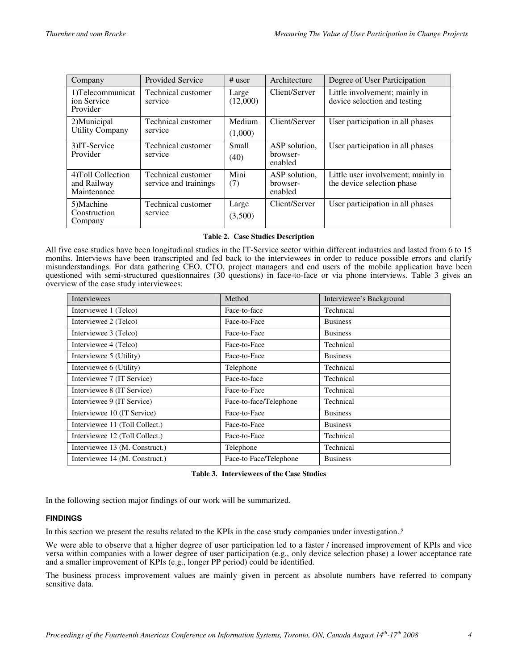<span id="page-3-0"></span>

| Company                                          | <b>Provided Service</b>                     | $#$ user             | Architecture                         | Degree of User Participation                                     |
|--------------------------------------------------|---------------------------------------------|----------------------|--------------------------------------|------------------------------------------------------------------|
| 1) Telecommunicat<br>ion Service<br>Provider     | Technical customer<br>service               | Large<br>(12,000)    | Client/Server                        | Little involvement; mainly in<br>device selection and testing    |
| 2) Municipal<br><b>Utility Company</b>           | Technical customer<br>service               | Medium               | Client/Server                        | User participation in all phases                                 |
|                                                  |                                             | (1,000)              |                                      |                                                                  |
| 3) IT-Service<br>Provider                        | Technical customer<br>service               | <b>Small</b><br>(40) | ASP solution.<br>browser-<br>enabled | User participation in all phases                                 |
| 4) Toll Collection<br>and Railway<br>Maintenance | Technical customer<br>service and trainings | Mini<br>(7)          | ASP solution.<br>browser-<br>enabled | Little user involvement; mainly in<br>the device selection phase |
| 5)Machine<br>Construction<br>Company             | Technical customer<br>service               | Large<br>(3,500)     | Client/Server                        | User participation in all phases                                 |

## **Table 2. Case Studies Description**

All five case studies have been longitudinal studies in the IT-Service sector within different industries and lasted from 6 to 15 months. Interviews have been transcripted and fed back to the interviewees in order to reduce possible errors and clarify misunderstandings. For data gathering CEO, CTO, project managers and end users of the mobile application have been questioned with semi-structured questionnaires (30 questions) in face-to-face or via phone interviews. Table 3 gives an overview of the case study interviewees:

| <b>Interviewees</b>            | Method                 | Interviewee's Background |
|--------------------------------|------------------------|--------------------------|
| Interviewee 1 (Telco)          | Face-to-face           | Technical                |
| Interviewee 2 (Telco)          | Face-to-Face           | <b>Business</b>          |
| Interviewee 3 (Telco)          | Face-to-Face           | <b>Business</b>          |
| Interviewee 4 (Telco)          | Face-to-Face           | Technical                |
| Interviewee 5 (Utility)        | Face-to-Face           | <b>Business</b>          |
| Interviewee 6 (Utility)        | Telephone              | Technical                |
| Interviewee 7 (IT Service)     | Face-to-face           | Technical                |
| Interviewee 8 (IT Service)     | Face-to-Face           | Technical                |
| Interviewee 9 (IT Service)     | Face-to-face/Telephone | Technical                |
| Interviewee 10 (IT Service)    | Face-to-Face           | <b>Business</b>          |
| Interviewee 11 (Toll Collect.) | Face-to-Face           | <b>Business</b>          |
| Interviewee 12 (Toll Collect.) | Face-to-Face           | Technical                |
| Interviewee 13 (M. Construct.) | Telephone              | Technical                |
| Interviewee 14 (M. Construct.) | Face-to Face/Telephone | <b>Business</b>          |

## **Table 3. Interviewees of the Case Studies**

In the following section major findings of our work will be summarized.

## **FINDINGS**

In this section we present the results related to the KPIs in the case study companies under investigation.*?*

We were able to observe that a higher degree of user participation led to a faster / increased improvement of KPIs and vice versa within companies with a lower degree of user participation (e.g., only device selection phase) a lower acceptance rate and a smaller improvement of KPIs (e.g., longer PP period) could be identified.

The business process improvement values are mainly given in percent as absolute numbers have referred to company sensitive data.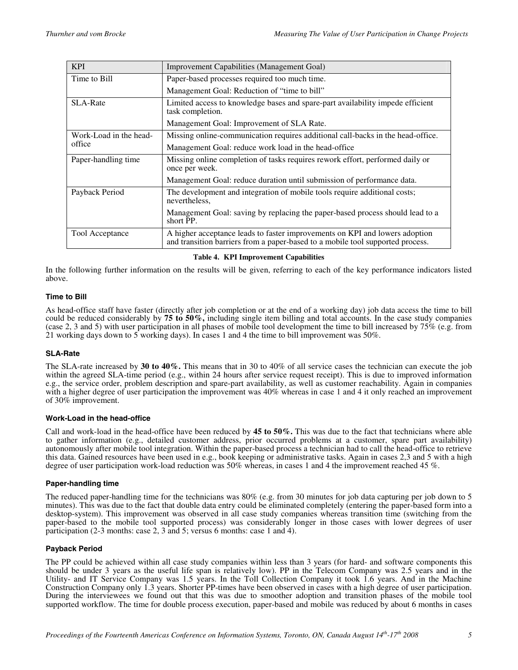| <b>KPI</b>             | <b>Improvement Capabilities (Management Goal)</b>                                                                                                             |  |  |  |
|------------------------|---------------------------------------------------------------------------------------------------------------------------------------------------------------|--|--|--|
| Time to Bill           | Paper-based processes required too much time.                                                                                                                 |  |  |  |
|                        | Management Goal: Reduction of "time to bill"                                                                                                                  |  |  |  |
| <b>SLA-Rate</b>        | Limited access to knowledge bases and spare-part availability impede efficient<br>task completion.                                                            |  |  |  |
|                        | Management Goal: Improvement of SLA Rate.                                                                                                                     |  |  |  |
| Work-Load in the head- | Missing online-communication requires additional call-backs in the head-office.                                                                               |  |  |  |
| office                 | Management Goal: reduce work load in the head-office                                                                                                          |  |  |  |
| Paper-handling time    | Missing online completion of tasks requires rework effort, performed daily or<br>once per week.                                                               |  |  |  |
|                        | Management Goal: reduce duration until submission of performance data.                                                                                        |  |  |  |
| Payback Period         | The development and integration of mobile tools require additional costs;<br>nevertheless.                                                                    |  |  |  |
|                        | Management Goal: saving by replacing the paper-based process should lead to a<br>short PP.                                                                    |  |  |  |
| <b>Tool Acceptance</b> | A higher acceptance leads to faster improvements on KPI and lowers adoption<br>and transition barriers from a paper-based to a mobile tool supported process. |  |  |  |

## **Table 4. KPI Improvement Capabilities**

In the following further information on the results will be given, referring to each of the key performance indicators listed above.

## **Time to Bill**

As head-office staff have faster (directly after job completion or at the end of a working day) job data access the time to bill could be reduced considerably by **75 to 50%,** including single item billing and total accounts. In the case study companies (case 2, 3 and 5) with user participation in all phases of mobile tool development the time to bill increased by 75% (e.g. from 21 working days down to 5 working days). In cases 1 and 4 the time to bill improvement was 50%.

## **SLA-Rate**

The SLA-rate increased by **30 to 40%.** This means that in 30 to 40% of all service cases the technician can execute the job within the agreed SLA-time period (e.g., within 24 hours after service request receipt). This is due to improved information e.g., the service order, problem description and spare-part availability, as well as customer reachability. Again in companies with a higher degree of user participation the improvement was  $40\%$  whereas in case 1 and 4 it only reached an improvement of 30% improvement.

## **Work-Load in the head-office**

Call and work-load in the head-office have been reduced by **45 to 50%.** This was due to the fact that technicians where able to gather information (e.g., detailed customer address, prior occurred problems at a customer, spare part availability) autonomously after mobile tool integration. Within the paper-based process a technician had to call the head-office to retrieve this data. Gained resources have been used in e.g., book keeping or administrative tasks. Again in cases 2,3 and 5 with a high degree of user participation work-load reduction was 50% whereas, in cases 1 and 4 the improvement reached 45 %.

## **Paper-handling time**

The reduced paper-handling time for the technicians was 80% (e.g. from 30 minutes for job data capturing per job down to 5 minutes). This was due to the fact that double data entry could be eliminated completely (entering the paper-based form into a desktop-system). This improvement was observed in all case study companies whereas transition time (switching from the paper-based to the mobile tool supported process) was considerably longer in those cases with lower degrees of user participation (2-3 months: case 2, 3 and 5; versus 6 months: case 1 and 4).

## **Payback Period**

The PP could be achieved within all case study companies within less than 3 years (for hard- and software components this should be under 3 years as the useful life span is relatively low). PP in the Telecom Company was 2.5 years and in the Utility- and IT Service Company was 1.5 years. In the Toll Collection Company it took 1.6 years. And in the Machine Construction Company only 1.3 years. Shorter PP-times have been observed in cases with a high degree of user participation. During the interviewees we found out that this was due to smoother adoption and transition phases of the mobile tool supported workflow. The time for double process execution, paper-based and mobile was reduced by about 6 months in cases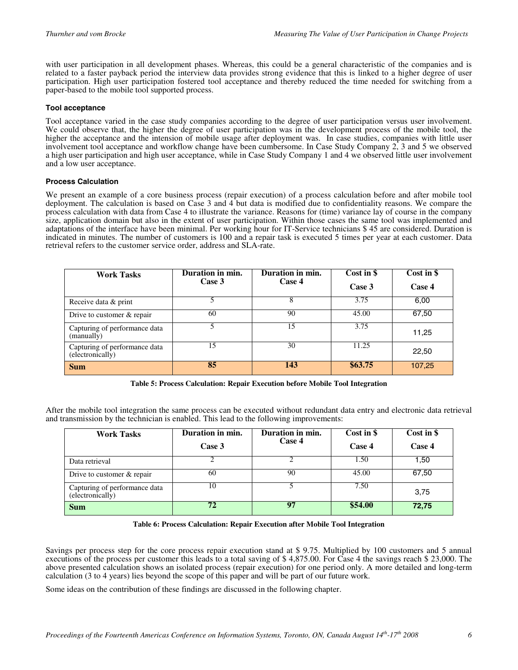with user participation in all development phases. Whereas, this could be a general characteristic of the companies and is related to a faster payback period the interview data provides strong evidence that this is linked to a higher degree of user participation. High user participation fostered tool acceptance and thereby reduced the time needed for switching from a paper-based to the mobile tool supported process.

## **Tool acceptance**

Tool acceptance varied in the case study companies according to the degree of user participation versus user involvement. We could observe that, the higher the degree of user participation was in the development process of the mobile tool, the higher the acceptance and the intension of mobile usage after deployment was. In case studies, companies with little user involvement tool acceptance and workflow change have been cumbersome. In Case Study Company 2, 3 and 5 we observed a high user participation and high user acceptance, while in Case Study Company 1 and 4 we observed little user involvement and a low user acceptance.

## **Process Calculation**

We present an example of a core business process (repair execution) of a process calculation before and after mobile tool deployment. The calculation is based on Case 3 and 4 but data is modified due to confidentiality reasons. We compare the process calculation with data from Case 4 to illustrate the variance. Reasons for (time) variance lay of course in the company size, application domain but also in the extent of user participation. Within those cases the same tool was implemented and adaptations of the interface have been minimal. Per working hour for IT-Service technicians \$ 45 are considered. Duration is indicated in minutes. The number of customers is 100 and a repair task is executed 5 times per year at each customer. Data retrieval refers to the customer service order, address and SLA-rate.

| <b>Work Tasks</b>                                 | Duration in min.<br>Case 3 | Duration in min.<br>Case 4 | Cost in \$<br>Case 3 | Cost in \$<br>Case 4 |
|---------------------------------------------------|----------------------------|----------------------------|----------------------|----------------------|
| Receive data & print                              |                            | 8                          | 3.75                 | 6,00                 |
| Drive to customer & repair                        | 60                         | 90                         | 45.00                | 67,50                |
| Capturing of performance data<br>(manually)       |                            | 15                         | 3.75                 | 11,25                |
| Capturing of performance data<br>(electronically) | 15                         | 30                         | 11.25                | 22,50                |
| <b>Sum</b>                                        | 85                         | 143                        | \$63.75              | 107,25               |

**Table 5: Process Calculation: Repair Execution before Mobile Tool Integration**

After the mobile tool integration the same process can be executed without redundant data entry and electronic data retrieval and transmission by the technician is enabled. This lead to the following improvements:

| <b>Work Tasks</b>                                 | Duration in min.<br>Case 3 | Duration in min.<br>Case 4 | Cost in \$<br>Case 4 | Cost in \$<br>Case 4 |
|---------------------------------------------------|----------------------------|----------------------------|----------------------|----------------------|
| Data retrieval                                    |                            |                            | 1.50                 | 1,50                 |
| Drive to customer $&$ repair                      | 60                         | 90                         | 45.00                | 67,50                |
| Capturing of performance data<br>(electronically) | 10                         |                            | 7.50                 | 3,75                 |
| <b>Sum</b>                                        | 72                         | 97                         | \$54.00              | 72,75                |

## **Table 6: Process Calculation: Repair Execution after Mobile Tool Integration**

Savings per process step for the core process repair execution stand at \$ 9.75. Multiplied by 100 customers and 5 annual executions of the process per customer this leads to a total saving of \$ 4,875.00. For Case 4 the savings reach \$ 23,000. The above presented calculation shows an isolated process (repair execution) for one period only. A more detailed and long-term calculation (3 to 4 years) lies beyond the scope of this paper and will be part of our future work.

Some ideas on the contribution of these findings are discussed in the following chapter.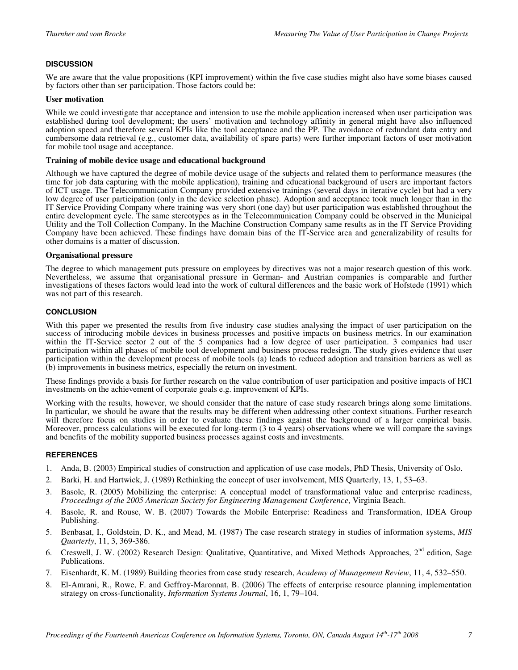# **DISCUSSION**

We are aware that the value propositions (KPI improvement) within the five case studies might also have some biases caused by factors other than ser participation. Those factors could be:

#### **User motivation**

While we could investigate that acceptance and intension to use the mobile application increased when user participation was established during tool development; the users' motivation and technology affinity in general might have also influenced adoption speed and therefore several KPIs like the tool acceptance and the PP. The avoidance of redundant data entry and cumbersome data retrieval (e.g., customer data, availability of spare parts) were further important factors of user motivation for mobile tool usage and acceptance.

#### **Training of mobile device usage and educational background**

Although we have captured the degree of mobile device usage of the subjects and related them to performance measures (the time for job data capturing with the mobile application), training and educational background of users are important factors of ICT usage. The Telecommunication Company provided extensive trainings (several days in iterative cycle) but had a very low degree of user participation (only in the device selection phase). Adoption and acceptance took much longer than in the IT Service Providing Company where training was very short (one day) but user participation was established throughout the entire development cycle. The same stereotypes as in the Telecommunication Company could be observed in the Municipal Utility and the Toll Collection Company. In the Machine Construction Company same results as in the IT Service Providing Company have been achieved. These findings have domain bias of the IT-Service area and generalizability of results for other domains is a matter of discussion.

#### **Organisational pressure**

The degree to which management puts pressure on employees by directives was not a major research question of this work. Nevertheless, we assume that organisational pressure in German- and Austrian companies is comparable and further investigations of theses factors would lead into the work of cultural differences and the basic work of Hofstede (1991) which was not part of this research.

## **CONCLUSION**

With this paper we presented the results from five industry case studies analysing the impact of user participation on the success of introducing mobile devices in business processes and positive impacts on business metrics. In our examination within the IT-Service sector 2 out of the 5 companies had a low degree of user participation. 3 companies had user participation within all phases of mobile tool development and business process redesign. The study gives evidence that user participation within the development process of mobile tools (a) leads to reduced adoption and transition barriers as well as (b) improvements in business metrics, especially the return on investment.

These findings provide a basis for further research on the value contribution of user participation and positive impacts of HCI investments on the achievement of corporate goals e.g. improvement of KPIs.

Working with the results, however, we should consider that the nature of case study research brings along some limitations. In particular, we should be aware that the results may be different when addressing other context situations. Further research will therefore focus on studies in order to evaluate these findings against the background of a larger empirical basis. Moreover, process calculations will be executed for long-term  $(3 \text{ to } 4 \text{ years})$  observations where we will compare the savings and benefits of the mobility supported business processes against costs and investments.

## **REFERENCES**

- 1. Anda, B. (2003) Empirical studies of construction and application of use case models, PhD Thesis, University of Oslo.
- 2. Barki, H. and Hartwick, J. (1989) Rethinking the concept of user involvement, MIS Quarterly, 13, 1, 53–63.
- 3. Basole, R. (2005) Mobilizing the enterprise: A conceptual model of transformational value and enterprise readiness, *Proceedings of the 2005 American Society for Engineering Management Conference*, Virginia Beach.
- 4. Basole, R. and Rouse, W. B. (2007) Towards the Mobile Enterprise: Readiness and Transformation, IDEA Group Publishing.
- 5. Benbasat, I., Goldstein, D. K., and Mead, M. (1987) The case research strategy in studies of information systems, *MIS Quarterly*, 11, 3, 369-386.
- 6. Creswell, J. W. (2002) Research Design: Qualitative, Quantitative, and Mixed Methods Approaches,  $2<sup>nd</sup>$  edition, Sage Publications.
- 7. Eisenhardt, K. M. (1989) Building theories from case study research, *Academy of Management Review*, 11, 4, 532–550.
- 8. El-Amrani, R., Rowe, F. and Geffroy-Maronnat, B. (2006) The effects of enterprise resource planning implementation strategy on cross-functionality, *Information Systems Journal*, 16, 1, 79–104.